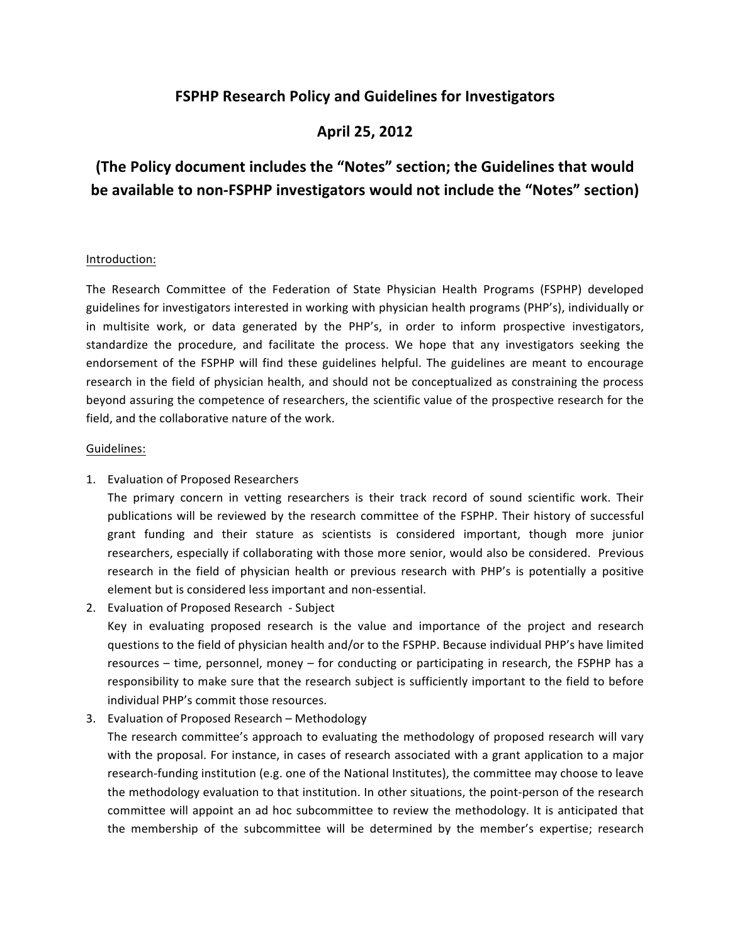## **FSPHP Research Policy and Guidelines for Investigators**

## **April 25, 2012**

# **(The Policy document includes the "Notes" section; the Guidelines that would be available to non-FSPHP investigators would not include the "Notes" section)**

### Introduction:

The Research Committee of the Federation of State Physician Health Programs (FSPHP) developed guidelines for investigators interested in working with physician health programs (PHP's), individually or in multisite work, or data generated by the PHP's, in order to inform prospective investigators, standardize the procedure, and facilitate the process. We hope that any investigators seeking the endorsement of the FSPHP will find these guidelines helpful. The guidelines are meant to encourage research in the field of physician health, and should not be conceptualized as constraining the process beyond assuring the competence of researchers, the scientific value of the prospective research for the field, and the collaborative nature of the work.

#### Guidelines:

1. Evaluation of Proposed Researchers

The primary concern in vetting researchers is their track record of sound scientific work. Their publications will be reviewed by the research committee of the FSPHP. Their history of successful grant funding and their stature as scientists is considered important, though more junior researchers, especially if collaborating with those more senior, would also be considered. Previous research in the field of physician health or previous research with PHP's is potentially a positive element but is considered less important and non-essential.

2. Evaluation of Proposed Research - Subject

Key in evaluating proposed research is the value and importance of the project and research questions to the field of physician health and/or to the FSPHP. Because individual PHP's have limited resources  $-$  time, personnel, money  $-$  for conducting or participating in research, the FSPHP has a responsibility to make sure that the research subject is sufficiently important to the field to before individual PHP's commit those resources.

3. Evaluation of Proposed Research – Methodology

The research committee's approach to evaluating the methodology of proposed research will vary with the proposal. For instance, in cases of research associated with a grant application to a major research-funding institution (e.g. one of the National Institutes), the committee may choose to leave the methodology evaluation to that institution. In other situations, the point-person of the research committee will appoint an ad hoc subcommittee to review the methodology. It is anticipated that the membership of the subcommittee will be determined by the member's expertise; research